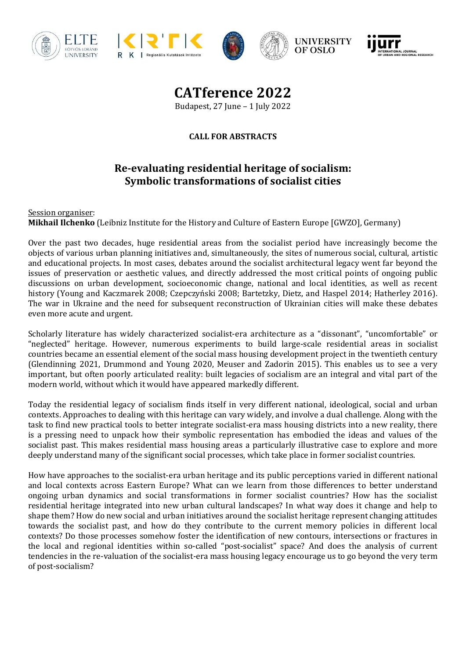









**CATference 2022** Budapest, 27 June – 1 July 2022

**CALL FOR ABSTRACTS**

## **Re-evaluating residential heritage of socialism: Symbolic transformations of socialist cities**

Session organiser: **Mikhail Ilchenko** (Leibniz Institute for the History and Culture of Eastern Europe [GWZO], Germany)

Over the past two decades, huge residential areas from the socialist period have increasingly become the objects of various urban planning initiatives and, simultaneously, the sites of numerous social, cultural, artistic and educational projects. In most cases, debates around the socialist architectural legacy went far beyond the issues of preservation or aesthetic values, and directly addressed the most critical points of ongoing public discussions on urban development, socioeconomic change, national and local identities, as well as recent history (Young and Kaczmarek 2008; Czepczyński 2008; Bartetzky, Dietz, and Haspel 2014; Hatherley 2016). The war in Ukraine and the need for subsequent reconstruction of Ukrainian cities will make these debates even more acute and urgent.

Scholarly literature has widely characterized socialist-era architecture as a "dissonant", "uncomfortable" or "neglected" heritage. However, numerous experiments to build large-scale residential areas in socialist countries became an essential element of the social mass housing development project in the twentieth century (Glendinning 2021, Drummond and Young 2020, Meuser and Zadorin 2015). This enables us to see a very important, but often poorly articulated reality: built legacies of socialism are an integral and vital part of the modern world, without which it would have appeared markedly different.

Today the residential legacy of socialism finds itself in very different national, ideological, social and urban contexts. Approaches to dealing with this heritage can vary widely, and involve a dual challenge. Along with the task to find new practical tools to better integrate socialist-era mass housing districts into a new reality, there is a pressing need to unpack how their symbolic representation has embodied the ideas and values of the socialist past. This makes residential mass housing areas a particularly illustrative case to explore and more deeply understand many of the significant social processes, which take place in former socialist countries.

How have approaches to the socialist-era urban heritage and its public perceptions varied in different national and local contexts across Eastern Europe? What can we learn from those differences to better understand ongoing urban dynamics and social transformations in former socialist countries? How has the socialist residential heritage integrated into new urban cultural landscapes? In what way does it change and help to shape them? How do new social and urban initiatives around the socialist heritage represent changing attitudes towards the socialist past, and how do they contribute to the current memory policies in different local contexts? Do those processes somehow foster the identification of new contours, intersections or fractures in the local and regional identities within so-called "post-socialist" space? And does the analysis of current tendencies in the re-valuation of the socialist-era mass housing legacy encourage us to go beyond the very term of post-socialism?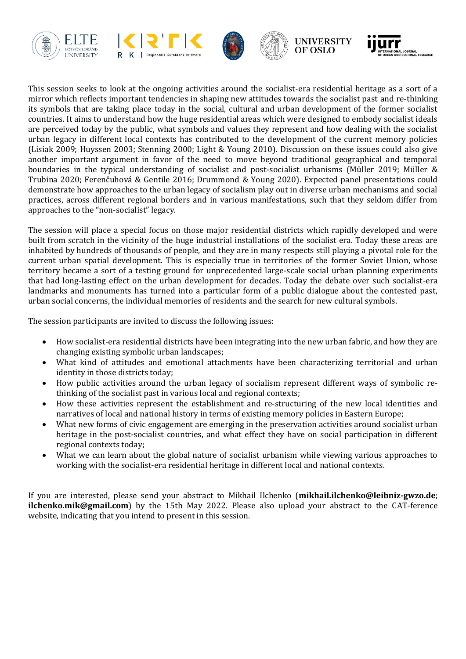









This session seeks to look at the ongoing activities around the socialist-era residential heritage as a sort of a mirror which reflects important tendencies in shaping new attitudes towards the socialist past and re-thinking its symbols that are taking place today in the social, cultural and urban development of the former socialist countries. It aims to understand how the huge residential areas which were designed to embody socialist ideals are perceived today by the public, what symbols and values they represent and how dealing with the socialist urban legacy in different local contexts has contributed to the development of the current memory policies (Lisiak 2009; Huyssen 2003; Stenning 2000; Light & Young 2010). Discussion on these issues could also give another important argument in favor of the need to move beyond traditional geographical and temporal boundaries in the typical understanding of socialist and post-socialist urbanisms (Müller 2019; Müller & Trubina 2020; Ferenčuhová & Gentile 2016; Drummond & Young 2020). Expected panel presentations could demonstrate how approaches to the urban legacy of socialism play out in diverse urban mechanisms and social practices, across different regional borders and in various manifestations, such that they seldom differ from approaches to the "non-socialist" legacy.

The session will place a special focus on those major residential districts which rapidly developed and were built from scratch in the vicinity of the huge industrial installations of the socialist era. Today these areas are inhabited by hundreds of thousands of people, and they are in many respects still playing a pivotal role for the current urban spatial development. This is especially true in territories of the former Soviet Union, whose territory became a sort of a testing ground for unprecedented large-scale social urban planning experiments that had long-lasting effect on the urban development for decades. Today the debate over such socialist-era landmarks and monuments has turned into a particular form of a public dialogue about the contested past, urban social concerns, the individual memories of residents and the search for new cultural symbols.

The session participants are invited to discuss the following issues:

- How socialist-era residential districts have been integrating into the new urban fabric, and how they are changing existing symbolic urban landscapes;
- What kind of attitudes and emotional attachments have been characterizing territorial and urban identity in those districts today;
- How public activities around the urban legacy of socialism represent different ways of symbolic rethinking of the socialist past in various local and regional contexts;
- How these activities represent the establishment and re-structuring of the new local identities and narratives of local and national history in terms of existing memory policies in Eastern Europe;
- What new forms of civic engagement are emerging in the preservation activities around socialist urban heritage in the post-socialist countries, and what effect they have on social participation in different regional contexts today;
- What we can learn about the global nature of socialist urbanism while viewing various approaches to working with the socialist-era residential heritage in different local and national contexts.

If you are interested, please send your abstract to Mikhail Ilchenko (**mikhail.ilchenko@leibniz-gwzo.de**; **ilchenko.mik@gmail.com**) by the 15th May 2022. Please also upload your abstract to the CAT-ference website, indicating that you intend to present in this session.